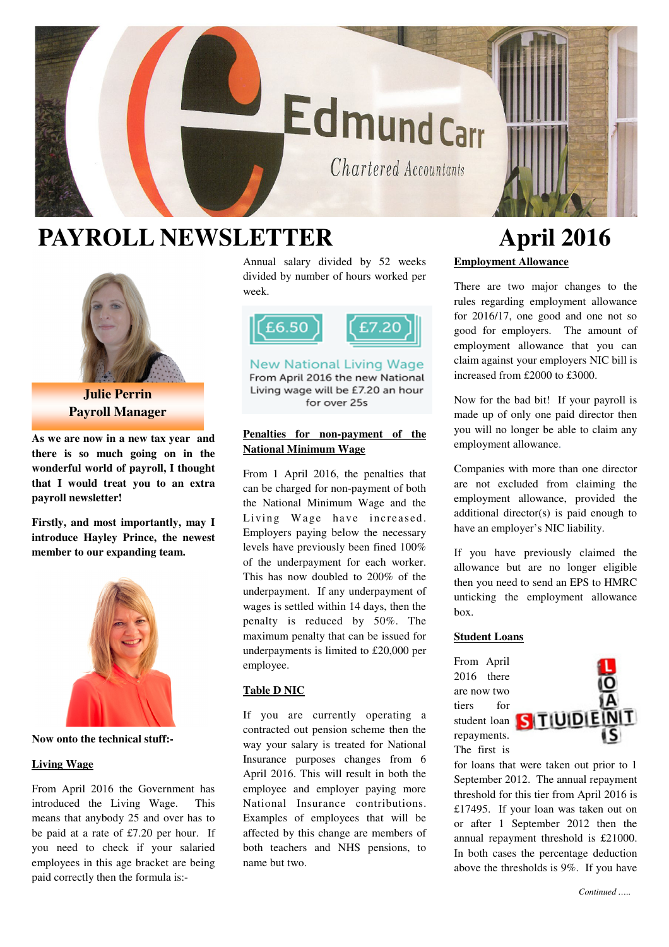# **EdmundCarr**

Chartered Accountants

### **PAYROLL NEWSLETTER April 2016**



**Julie Perrin Payroll Manager** 

**As we are now in a new tax year and there is so much going on in the wonderful world of payroll, I thought that I would treat you to an extra payroll newsletter!** 

**Firstly, and most importantly, may I introduce Hayley Prince, the newest member to our expanding team.** 



**Now onto the technical stuff:-** 

#### **Living Wage**

From April 2016 the Government has introduced the Living Wage. This means that anybody 25 and over has to be paid at a rate of £7.20 per hour. If you need to check if your salaried employees in this age bracket are being paid correctly then the formula is:-

Annual salary divided by 52 weeks divided by number of hours worked per week.



New National Living Wage From April 2016 the new National Living wage will be £7.20 an hour for over 25s

#### **Penalties for non-payment of the National Minimum Wage**

From 1 April 2016, the penalties that can be charged for non-payment of both the National Minimum Wage and the Living Wage have increased. Employers paying below the necessary levels have previously been fined 100% of the underpayment for each worker. This has now doubled to 200% of the underpayment. If any underpayment of wages is settled within 14 days, then the penalty is reduced by 50%. The maximum penalty that can be issued for underpayments is limited to £20,000 per employee.

#### **Table D NIC**

If you are currently operating a contracted out pension scheme then the way your salary is treated for National Insurance purposes changes from 6 April 2016. This will result in both the employee and employer paying more National Insurance contributions. Examples of employees that will be affected by this change are members of both teachers and NHS pensions, to name but two.

## **Employment Allowance**

There are two major changes to the rules regarding employment allowance for 2016/17, one good and one not so good for employers. The amount of employment allowance that you can claim against your employers NIC bill is increased from £2000 to £3000.

Now for the bad bit! If your payroll is made up of only one paid director then you will no longer be able to claim any employment allowance.

Companies with more than one director are not excluded from claiming the employment allowance, provided the additional director(s) is paid enough to have an employer's NIC liability.

If you have previously claimed the allowance but are no longer eligible then you need to send an EPS to HMRC unticking the employment allowance box.

#### **Student Loans**

From April 2016 there are now two tiers for student loan repayments. The first is



for loans that were taken out prior to 1 September 2012. The annual repayment threshold for this tier from April 2016 is £17495. If your loan was taken out on or after 1 September 2012 then the annual repayment threshold is £21000. In both cases the percentage deduction above the thresholds is 9%. If you have